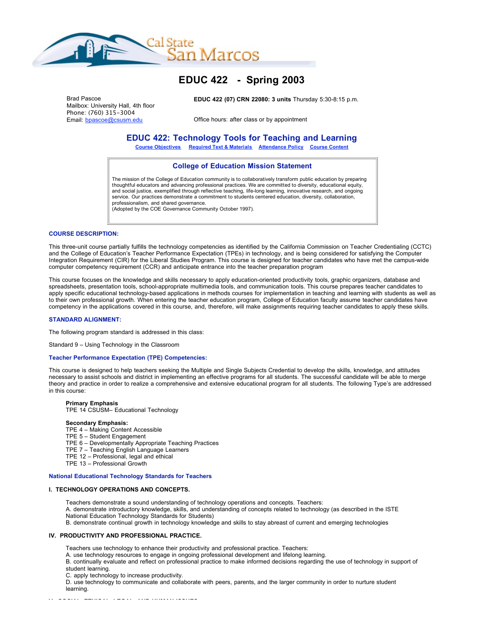

# **EDUC 422 - Spring 2003**

Brad Pascoe Mailbox: University Hall, 4th floor Phone: (760) 315-3004 Email: bpascoe@csusm.edu

**EDUC 422 (07) CRN 22080: 3 units** Thursday 5:30-8:15 p.m.

Office hours: after class or by appointment

# **EDUC 422: Technology Tools for Teaching and Learning**

**Course Objectives Required Text & Materials Attendance Policy Course Content**

# **College of Education Mission Statement**

The mission of the College of Education community is to collaboratively transform public education by preparing thoughtful educators and advancing professional practices. We are committed to diversity, educational equity, and social justice, exemplified through reflective teaching, life-long learning, innovative research, and ongoing service. Our practices demonstrate a commitment to students centered education, diversity, collaboration, professionalism, and shared governance. (Adopted by the COE Governance Community October 1997).

#### **COURSE DESCRIPTION:**

This three-unit course partially fulfills the technology competencies as identified by the California Commission on Teacher Credentialing (CCTC) and the College of Education's Teacher Performance Expectation (TPEs) in technology, and is being considered for satisfying the Computer Integration Requirement (CIR) for the Liberal Studies Program. This course is designed for teacher candidates who have met the campus-wide computer competency requirement (CCR) and anticipate entrance into the teacher preparation program

This course focuses on the knowledge and skills necessary to apply education-oriented productivity tools, graphic organizers, database and spreadsheets, presentation tools, school-appropriate multimedia tools, and communication tools. This course prepares teacher candidates to apply specific educational technology-based applications in methods courses for implementation in teaching and learning with students as well as to their own professional growth. When entering the teacher education program, College of Education faculty assume teacher candidates have competency in the applications covered in this course, and, therefore, will make assignments requiring teacher candidates to apply these skills.

#### **STANDARD ALIGNMENT:**

The following program standard is addressed in this class:

Standard 9 – Using Technology in the Classroom

#### **Teacher Performance Expectation (TPE) Competencies:**

This course is designed to help teachers seeking the Multiple and Single Subjects Credential to develop the skills, knowledge, and attitudes necessary to assist schools and district in implementing an effective programs for all students. The successful candidate will be able to merge theory and practice in order to realize a comprehensive and extensive educational program for all students. The following Type's are addressed in this course:

# **Primary Emphasis**

TPE 14 CSUSM– Educational Technology

# **Secondary Emphasis:**

- TPE 4 Making Content Accessible
- TPE 5 Student Engagement
- TPE 6 Developmentally Appropriate Teaching Practices
- TPE 7 Teaching English Language Learners
- TPE 12 Professional, legal and ethical
- TPE 13 Professional Growth

#### **National Educational Technology Standards for Teachers**

# **I. TECHNOLOGY OPERATIONS AND CONCEPTS.**

Teachers demonstrate a sound understanding of technology operations and concepts. Teachers:

- A. demonstrate introductory knowledge, skills, and understanding of concepts related to technology (as described in the ISTE National Education Technology Standards for Students)
- B. demonstrate continual growth in technology knowledge and skills to stay abreast of current and emerging technologies

#### **IV. PRODUCTIVITY AND PROFESSIONAL PRACTICE.**

Teachers use technology to enhance their productivity and professional practice. Teachers:

A. use technology resources to engage in ongoing professional development and lifelong learning.

B. continually evaluate and reflect on professional practice to make informed decisions regarding the use of technology in support of student learning.

C. apply technology to increase productivity.

D. use technology to communicate and collaborate with peers, parents, and the larger community in order to nurture student learning.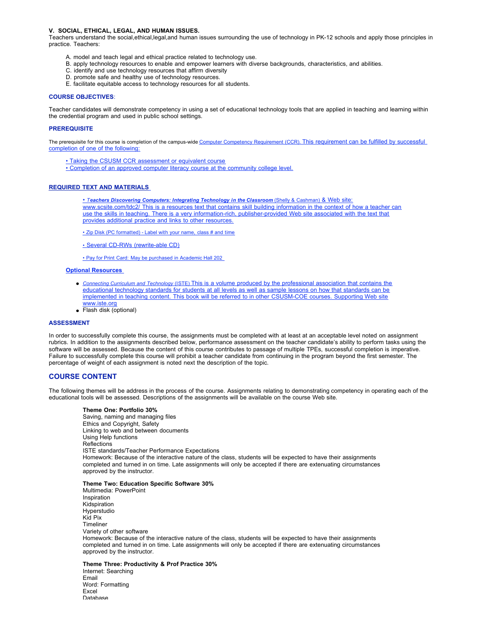#### **V. SOCIAL, ETHICAL, LEGAL, AND HUMAN ISSUES.**

Teachers understand the social,ethical,legal,and human issues surrounding the use of technology in PK-12 schools and apply those principles in practice. Teachers:

- A. model and teach legal and ethical practice related to technology use.
- B. apply technology resources to enable and empower learners with diverse backgrounds, characteristics, and abilities.
- C. identify and use technology resources that affirm diversity
- D. promote safe and healthy use of technology resources.
- E. facilitate equitable access to technology resources for all students.

#### **COURSE OBJECTIVES**:

Teacher candidates will demonstrate competency in using a set of educational technology tools that are applied in teaching and learning within the credential program and used in public school settings.

#### **PREREQUISITE**

The prerequisite for this course is completion of the campus-wide Computer Competency Requirement (CCR). This requirement can be fulfilled by successful completion of one of the following:

• Taking the CSUSM CCR assessment or equivalent course

• Completion of an approved computer literacy course at the community college level.

#### **REQUIRED TEXT AND MATERIALS**

• *Teachers Discovering Computers: Integrating Technology in the Classroom* (Shelly & Cashman) & Web site: www.scsite.com/tdc2/ This is a resources text that contains skill building information in the context of how a teacher can use the skills in teaching. There is a very information-rich, publisher-provided Web site associated with the text that provides additional practice and links to other resources.

• Zip Disk (PC formatted) - Label with your name, class # and time

• Several CD-RWs (rewrite-able CD)

• Pay for Print Card: May be purchased in Academic Hall 202

# **Optional Resources**

- *Connecting Curriculum and Technology* (ISTE) This is a volume produced by the professional association that contains the educational technology standards for students at all levels as well as sample lessons on how that standards can be implemented in teaching content. This book will be referred to in other CSUSM-COE courses. Supporting Web site www.iste.org
- Flash disk (optional)

# **ASSESSMENT**

In order to successfully complete this course, the assignments must be completed with at least at an acceptable level noted on assignment rubrics. In addition to the assignments described below, performance assessment on the teacher candidate's ability to perform tasks using the software will be assessed. Because the content of this course contributes to passage of multiple TPEs, successful completion is imperative. Failure to successfully complete this course will prohibit a teacher candidate from continuing in the program beyond the first semester. The percentage of weight of each assignment is noted next the description of the topic.

#### **COURSE CONTENT**

The following themes will be address in the process of the course. Assignments relating to demonstrating competency in operating each of the educational tools will be assessed. Descriptions of the assignments will be available on the course Web site.

#### **Theme One: Portfolio 30%**

Saving, naming and managing files Ethics and Copyright, Safety Linking to web and between documents Using Help functions Reflections ISTE standards/Teacher Performance Expectations Homework: Because of the interactive nature of the class, students will be expected to have their assignments completed and turned in on time. Late assignments will only be accepted if there are extenuating circumstances approved by the instructor.

# **Theme Two: Education Specific Software 30%**

Multimedia: PowerPoint Inspiration Kidspiration Hyperstudio Kid Pix Timeliner Variety of other software Homework: Because of the interactive nature of the class, students will be expected to have their assignments completed and turned in on time. Late assignments will only be accepted if there are extenuating circumstances approved by the instructor.

**Theme Three: Productivity & Prof Practice 30%** Internet: Searching Email Word: Formatting Excel Database